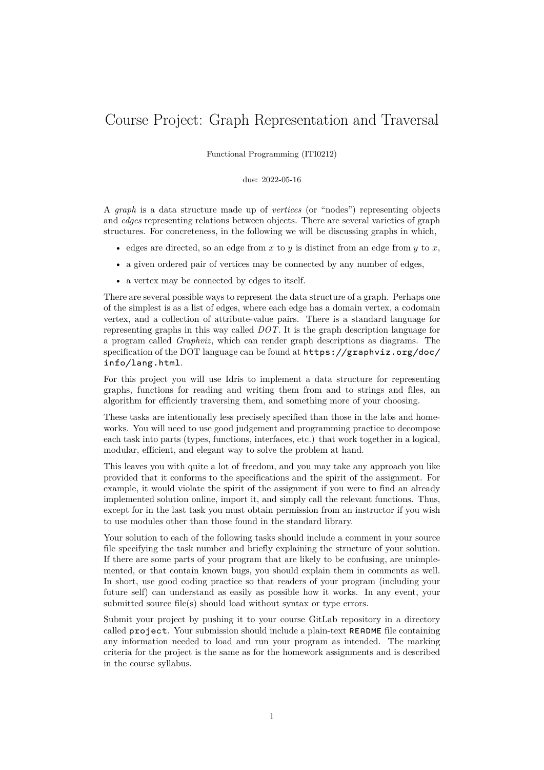# Course Project: Graph Representation and Traversal

Functional Programming (ITI0212)

### due: 2022-05-16

A *graph* is a data structure made up of *vertices* (or "nodes") representing objects and *edges* representing relations between objects. There are several varieties of graph structures. For concreteness, in the following we will be discussing graphs in which,

- edges are directed, so an edge from x to  $y$  is distinct from an edge from  $y$  to x,
- a given ordered pair of vertices may be connected by any number of edges,
- a vertex may be connected by edges to itself.

There are several possible ways to represent the data structure of a graph. Perhaps one of the simplest is as a list of edges, where each edge has a domain vertex, a codomain vertex, and a collection of attribute-value pairs. There is a standard language for representing graphs in this way called *DOT*. It is the graph description language for a program called *Graphviz*, which can render graph descriptions as diagrams. The specification of the DOT language can be found at https://graphviz.org/doc/ info/lang.html.

For this project you will use Idris to implement a data structure for representing graphs, functions for reading and writing them from and to strings and files, an [algorithm for efficie](https://graphviz.org/doc/info/lang.html)ntly traversing them, and som[ething more of your choosing.](https://graphviz.org/doc/info/lang.html)

These tasks are intentionally less precisely specified than those in the labs and homeworks. You will need to use good judgement and programming practice to decompose each task into parts (types, functions, interfaces, etc.) that work together in a logical, modular, efficient, and elegant way to solve the problem at hand.

This leaves you with quite a lot of freedom, and you may take any approach you like provided that it conforms to the specifications and the spirit of the assignment. For example, it would violate the spirit of the assignment if you were to find an already implemented solution online, import it, and simply call the relevant functions. Thus, except for in the last task you must obtain permission from an instructor if you wish to use modules other than those found in the standard library.

Your solution to each of the following tasks should include a comment in your source file specifying the task number and briefly explaining the structure of your solution. If there are some parts of your program that are likely to be confusing, are unimplemented, or that contain known bugs, you should explain them in comments as well. In short, use good coding practice so that readers of your program (including your future self) can understand as easily as possible how it works. In any event, your submitted source file(s) should load without syntax or type errors.

Submit your project by pushing it to your course GitLab repository in a directory called project. Your submission should include a plain-text README file containing any information needed to load and run your program as intended. The marking criteria for the project is the same as for the homework assignments and is described in the course syllabus.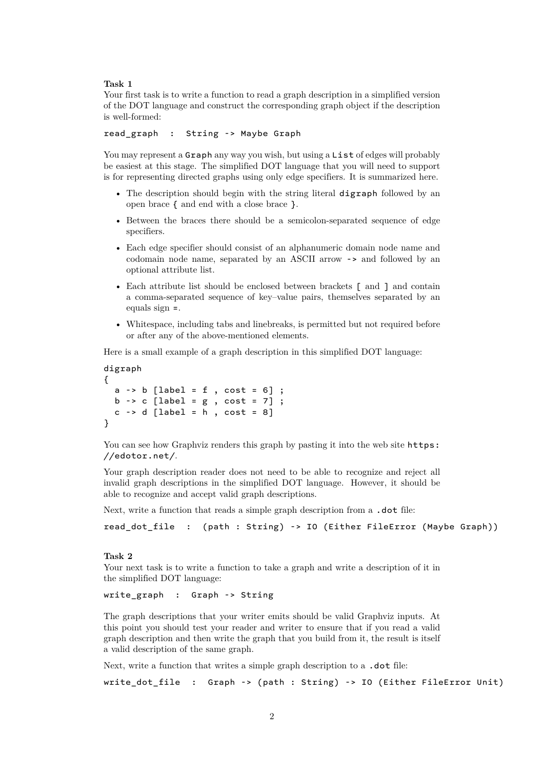#### **Task 1**

Your first task is to write a function to read a graph description in a simplified version of the DOT language and construct the corresponding graph object if the description is well-formed:

<span id="page-1-0"></span>read\_graph : String -> Maybe Graph

You may represent a Graph any way you wish, but using a List of edges will probably be easiest at this stage. The simplified DOT language that you will need to support is for representing directed graphs using only edge specifiers. It is summarized here.

- The description should begin with the string literal digraph followed by an open brace { and end with a close brace }.
- Between the braces there should be a semicolon-separated sequence of edge specifiers.
- Each edge specifier should consist of an alphanumeric domain node name and codomain node name, separated by an ASCII arrow -> and followed by an optional attribute list.
- Each attribute list should be enclosed between brackets [ and ] and contain a comma-separated sequence of key–value pairs, themselves separated by an equals sign =.
- Whitespace, including tabs and linebreaks, is permitted but not required before or after any of the above-mentioned elements.

Here is a small example of a graph description in this simplified DOT language:

```
digraph
{
  a \rightarrow b [label = f , cost = 6] ;
  b \rightarrow c [label = g, cost = 7] ;
  c \rightarrow d [label = h, cost = 8]
}
```
You can see how Graphviz renders this graph by pasting it into the web site  $https:$ //edotor.net/.

Your graph description reader does not need to be able to recognize and reject all invalid graph descriptions in the simplified DOT language. However, it s[hould be](https://edotor.net/) [able to recognize a](https://edotor.net/)nd accept valid graph descriptions.

Next, write a function that reads a simple graph description from a **.dot** file:

read\_dot\_file : (path : String) -> IO (Either FileError (Maybe Graph))

### **Task 2**

Your next task is to write a function to take a graph and write a description of it in the simplified DOT language:

<span id="page-1-1"></span>write\_graph : Graph -> String

The graph descriptions that your writer emits should be valid Graphviz inputs. At this point you should test your reader and writer to ensure that if you read a valid graph description and then write the graph that you build from it, the result is itself a valid description of the same graph.

Next, write a function that writes a simple graph description to a **.dot** file:

write\_dot\_file : Graph -> (path : String) -> IO (Either FileError Unit)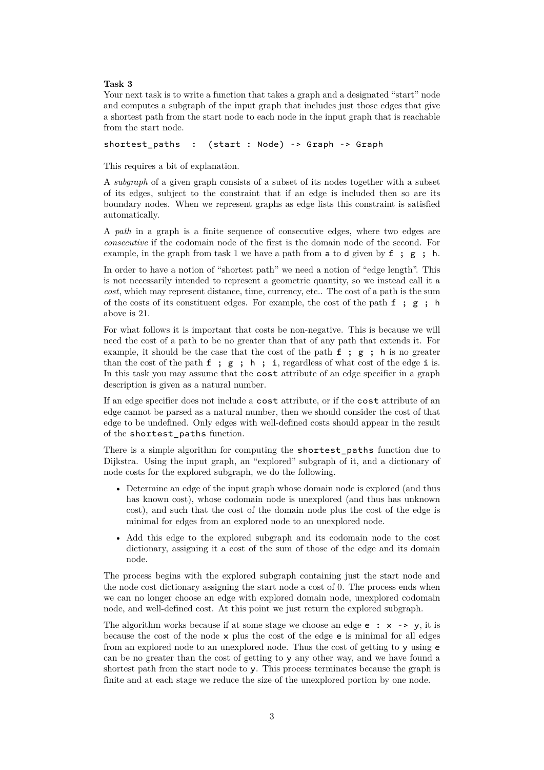### **Task 3**

Your next task is to write a function that takes a graph and a designated "start" node and computes a subgraph of the input graph that includes just those edges that give a shortest path from the start node to each node in the input graph that is reachable from the start node.

<span id="page-2-0"></span>shortest paths : (start : Node) -> Graph -> Graph

This requires a bit of explanation.

A *subgraph* of a given graph consists of a subset of its nodes together with a subset of its edges, subject to the constraint that if an edge is included then so are its boundary nodes. When we represent graphs as edge lists this constraint is satisfied automatically.

A *path* in a graph is a finite sequence of consecutive edges, where two edges are *consecutive* if the codomain node of the first is the domain node of the second. For example, in the graph from task 1 we have a path from  $\alpha$  to d given by  $f : g : h$ .

In order to have a notion of "shortest path" we need a notion of "edge length". This is not necessarily intended to represent a geometric quantity, so we instead call it a *cost*, which may represent distance, time, currency, etc.. The cost of a path is the sum of the costs of its constituent ed[ge](#page-1-0)s. For example, the cost of the path  $f$ ;  $g$ ; h above is 21.

For what follows it is important that costs be non-negative. This is because we will need the cost of a path to be no greater than that of any path that extends it. For example, it should be the case that the cost of the path f ; g ; h is no greater than the cost of the path  $f$ ;  $g$ ;  $h$ ;  $i$ , regardless of what cost of the edge i is. In this task you may assume that the cost attribute of an edge specifier in a graph description is given as a natural number.

If an edge specifier does not include a cost attribute, or if the cost attribute of an edge cannot be parsed as a natural number, then we should consider the cost of that edge to be undefined. Only edges with well-defined costs should appear in the result of the shortest\_paths function.

There is a simple algorithm for computing the shortest\_paths function due to Dijkstra. Using the input graph, an "explored" subgraph of it, and a dictionary of node costs for the explored subgraph, we do the following.

- Determine an edge of the input graph whose domain node is explored (and thus has known cost), whose codomain node is unexplored (and thus has unknown cost), and such that the cost of the domain node plus the cost of the edge is minimal for edges from an explored node to an unexplored node.
- Add this edge to the explored subgraph and its codomain node to the cost dictionary, assigning it a cost of the sum of those of the edge and its domain node.

The process begins with the explored subgraph containing just the start node and the node cost dictionary assigning the start node a cost of 0. The process ends when we can no longer choose an edge with explored domain node, unexplored codomain node, and well-defined cost. At this point we just return the explored subgraph.

The algorithm works because if at some stage we choose an edge  $e : x \rightarrow y$ , it is because the cost of the node  $\times$  plus the cost of the edge  $\epsilon$  is minimal for all edges from an explored node to an unexplored node. Thus the cost of getting to y using e can be no greater than the cost of getting to y any other way, and we have found a shortest path from the start node to y. This process terminates because the graph is finite and at each stage we reduce the size of the unexplored portion by one node.